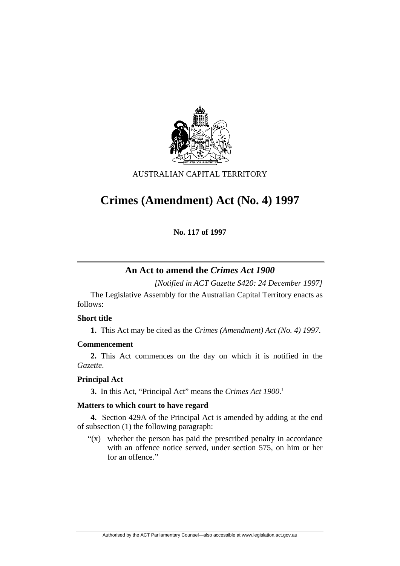

## AUSTRALIAN CAPITAL TERRITORY

# **Crimes (Amendment) Act (No. 4) 1997**

**No. 117 of 1997** 

# **An Act to amend the** *Crimes Act 1900*

*[Notified in ACT Gazette S420: 24 December 1997]*

 The Legislative Assembly for the Australian Capital Territory enacts as follows:

#### **Short title**

**1.** This Act may be cited as the *Crimes (Amendment) Act (No. 4) 1997.*

## **Commencement**

**2.** This Act commences on the day on which it is notified in the *Gazette*.

## **Principal Act**

**3.** In this Act, "Principal Act" means the *Crimes Act 1900*. 1

## **Matters to which court to have regard**

**4.** Section 429A of the Principal Act is amended by adding at the end of subsection (1) the following paragraph:

" $(x)$  whether the person has paid the prescribed penalty in accordance" with an offence notice served, under section 575, on him or her for an offence."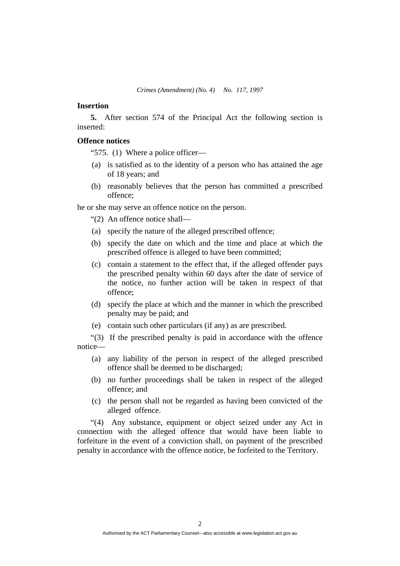#### **Insertion**

**5.** After section 574 of the Principal Act the following section is inserted:

#### **Offence notices**

"575. (1) Where a police officer—

- (a) is satisfied as to the identity of a person who has attained the age of 18 years; and
- (b) reasonably believes that the person has committed a prescribed offence;

he or she may serve an offence notice on the person.

"(2) An offence notice shall—

- (a) specify the nature of the alleged prescribed offence;
- (b) specify the date on which and the time and place at which the prescribed offence is alleged to have been committed;
- (c) contain a statement to the effect that, if the alleged offender pays the prescribed penalty within 60 days after the date of service of the notice, no further action will be taken in respect of that offence;
- (d) specify the place at which and the manner in which the prescribed penalty may be paid; and
- (e) contain such other particulars (if any) as are prescribed.

"(3) If the prescribed penalty is paid in accordance with the offence notice—

- (a) any liability of the person in respect of the alleged prescribed offence shall be deemed to be discharged;
- (b) no further proceedings shall be taken in respect of the alleged offence; and
- (c) the person shall not be regarded as having been convicted of the alleged offence.

"(4) Any substance, equipment or object seized under any Act in connection with the alleged offence that would have been liable to forfeiture in the event of a conviction shall, on payment of the prescribed penalty in accordance with the offence notice, be forfeited to the Territory.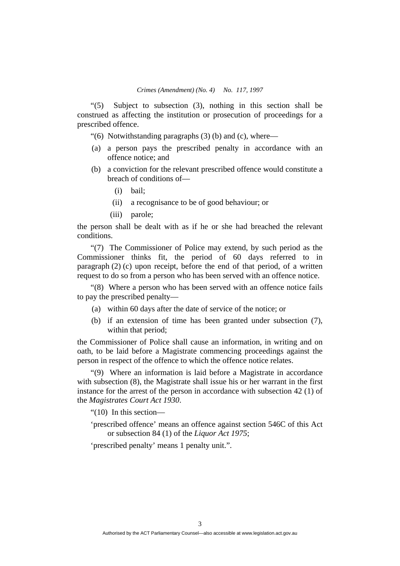"(5) Subject to subsection (3), nothing in this section shall be construed as affecting the institution or prosecution of proceedings for a prescribed offence.

"(6) Notwithstanding paragraphs  $(3)$  (b) and (c), where—

- (a) a person pays the prescribed penalty in accordance with an offence notice; and
- (b) a conviction for the relevant prescribed offence would constitute a breach of conditions of—
	- (i) bail;
	- (ii) a recognisance to be of good behaviour; or
	- (iii) parole;

the person shall be dealt with as if he or she had breached the relevant conditions.

"(7) The Commissioner of Police may extend, by such period as the Commissioner thinks fit, the period of 60 days referred to in paragraph (2) (c) upon receipt, before the end of that period, of a written request to do so from a person who has been served with an offence notice.

"(8) Where a person who has been served with an offence notice fails to pay the prescribed penalty—

- (a) within 60 days after the date of service of the notice; or
- (b) if an extension of time has been granted under subsection (7), within that period;

the Commissioner of Police shall cause an information, in writing and on oath, to be laid before a Magistrate commencing proceedings against the person in respect of the offence to which the offence notice relates.

"(9) Where an information is laid before a Magistrate in accordance with subsection (8), the Magistrate shall issue his or her warrant in the first instance for the arrest of the person in accordance with subsection 42 (1) of the *Magistrates Court Act 1930*.

"(10) In this section—

'prescribed offence' means an offence against section 546C of this Act or subsection 84 (1) of the *Liquor Act 1975*;

'prescribed penalty' means 1 penalty unit.".